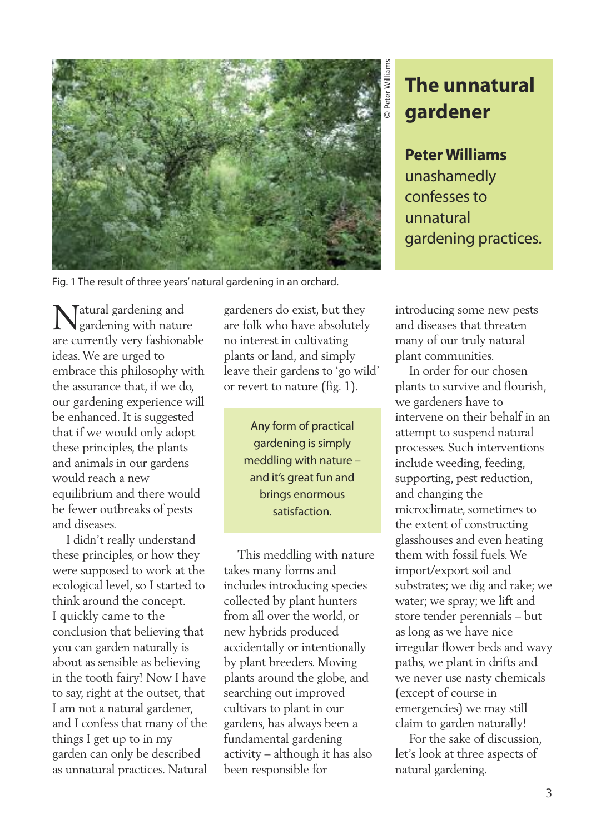

## **The unnatural gardener**

**PeterWilliams** unashamedly confessesto unnatural gardening practices.

Fig. 1 The result of three years'natural gardening in an orchard.

Tatural gardening and gardening with nature are currently very fashionable ideas.We are urged to embrace this philosophy with the assurance that, if we do, our gardening experience will be enhanced. It is suggested that if we would only adopt these principles, the plants and animals in our gardens would reach a new equilibrium and there would be fewer outbreaks of pests and diseases.

I didn't really understand these principles, or how they were supposed to work at the ecological level, so I started to think around the concept. I quickly came to the conclusion that believing that you can garden naturally is about as sensible as believing in the tooth fairy! Now I have to say, right at the outset, that I am not a natural gardener, and I confess that many of the things I get up to in my garden can only be described as unnatural practices. Natural gardeners do exist, but they are folk who have absolutely no interest in cultivating plants or land, and simply leave their gardens to 'go wild' or revert to nature (fig. 1).

> Any form of practical gardening is simply meddling with nature – and it's great fun and brings enormous satisfaction.

This meddling with nature takes many forms and includes introducing species collected by plant hunters from all over the world, or new hybrids produced accidentally or intentionally by plant breeders. Moving plants around the globe, and searching out improved cultivars to plant in our gardens, has always been a fundamental gardening activity – although it has also been responsible for

introducing some new pests and diseases that threaten many of our truly natural plant communities.

In order for our chosen plants to survive and flourish, we gardeners have to intervene on their behalf in an attempt to suspend natural processes. Such interventions include weeding, feeding, supporting, pest reduction, and changing the microclimate, sometimes to the extent of constructing glasshouses and even heating them with fossil fuels.We import/export soil and substrates; we dig and rake; we water; we spray; we lift and store tender perennials – but as long as we have nice irregular flower beds and wavy paths, we plant in drifts and we never use nasty chemicals (except of course in emergencies) we may still claim to garden naturally!

For the sake of discussion, let's look at three aspects of natural gardening.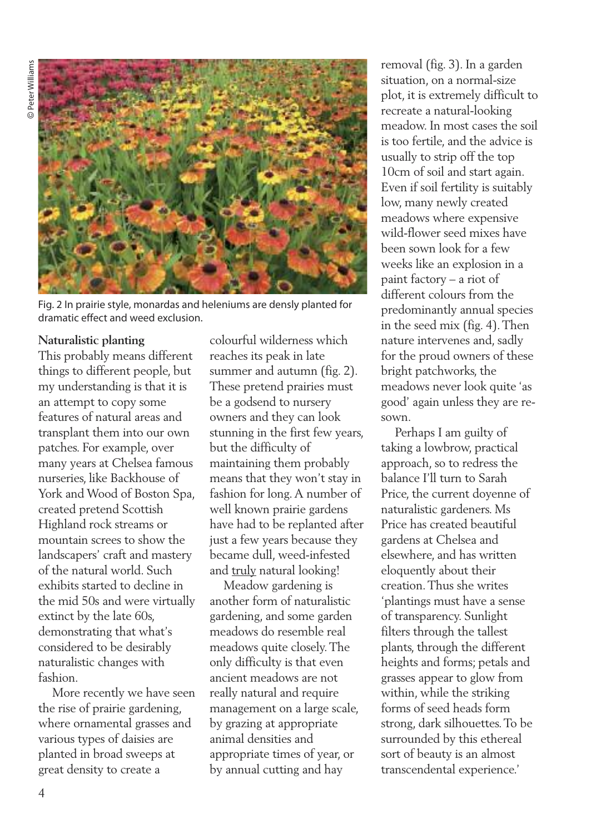

Fig. 2 In prairie style, monardas and heleniums are densly planted for dramatic effect and weed exclusion.

## **Naturalistic planting**

This probably means different things to different people, but my understanding is that it is an attempt to copy some features of natural areas and transplant them into our own patches. For example, over many years at Chelsea famous nurseries, like Backhouse of York and Wood of Boston Spa, created pretend Scottish Highland rock streams or mountain screes to show the landscapers' craft and mastery of the natural world. Such exhibits started to decline in the mid 50s and were virtually extinct by the late 60s, demonstrating that what's considered to be desirably naturalistic changes with fashion.

More recently we have seen the rise of prairie gardening, where ornamental grasses and various types of daisies are planted in broad sweeps at great density to create a

colourful wilderness which reaches its peak in late summer and autumn (fig. 2). These pretend prairies must be a godsend to nursery owners and they can look stunning in the first few years, but the difficulty of maintaining them probably means that they won't stay in fashion for long.A number of well known prairie gardens have had to be replanted after just a few years because they became dull, weed-infested and truly natural looking!

Meadow gardening is another form of naturalistic gardening, and some garden meadows do resemble real meadows quite closely.The only difficulty is that even ancient meadows are not really natural and require management on a large scale, by grazing at appropriate animal densities and appropriate times of year, or by annual cutting and hay

removal (fig. 3). In a garden situation, on a normal-size plot, it is extremely difficult to recreate a natural-looking meadow. In most cases the soil is too fertile, and the advice is usually to strip off the top 10cm of soil and start again. Even if soil fertility is suitably low, many newly created meadows where expensive wild-flower seed mixes have been sown look for a few weeks like an explosion in a paint factory – a riot of different colours from the predominantly annual species in the seed mix (fig. 4).Then nature intervenes and, sadly for the proud owners of these bright patchworks, the meadows never look quite 'as good' again unless they are resown.

Perhaps I am guilty of taking a lowbrow, practical approach, so to redress the balance I'll turn to Sarah Price, the current doyenne of naturalistic gardeners. Ms Price has created beautiful gardens at Chelsea and elsewhere, and has written eloquently about their creation.Thus she writes 'plantings must have a sense of transparency. Sunlight filters through the tallest plants, through the different heights and forms; petals and grasses appear to glow from within, while the striking forms of seed heads form strong, dark silhouettes.To be surrounded by this ethereal sort of beauty is an almost transcendental experience.'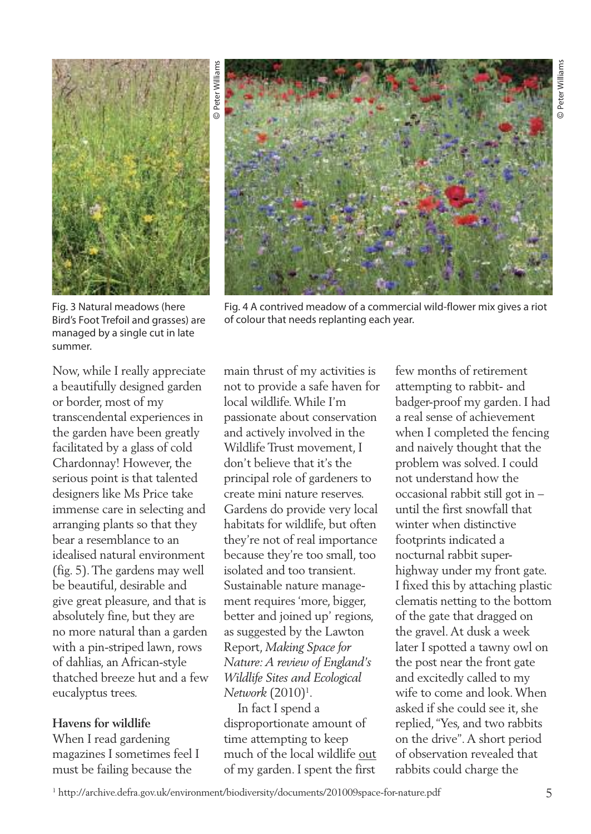

Bird's Foot Trefoil and grasses) are managed by a single cut in late

summer.

Fig. 4 A contrived meadow of a commercial wild-flower mix gives a riot of colour that needs replanting each year.

Now, while I really appreciate a beautifully designed garden or border, most of my transcendental experiences in the garden have been greatly facilitated by a glass of cold Chardonnay! However, the serious point is that talented designers like Ms Price take immense care in selecting and arranging plants so that they bear a resemblance to an idealised natural environment (fig. 5).The gardens may well be beautiful, desirable and give great pleasure, and that is absolutely fine, but they are no more natural than a garden with a pin-striped lawn, rows of dahlias, an African-style thatched breeze hut and a few eucalyptus trees.

## **Havens for wildlife**

When I read gardening magazines I sometimes feel I must be failing because the

main thrust of my activities is not to provide a safe haven for local wildlife.While I'm passionate about conservation and actively involved in the Wildlife Trust movement, I don't believe that it's the principal role of gardeners to create mini nature reserves. Gardens do provide very local habitats for wildlife, but often they're not of real importance because they're too small, too isolated and too transient. Sustainable nature management requires 'more, bigger, better and joined up' regions, as suggested by the Lawton Report, *Making Space for Nature: A review of England's Wildlife Sites and Ecological Network* (2010)1 .

In fact I spend a disproportionate amount of time attempting to keep much of the local wildlife out of my garden. I spent the first

few months of retirement attempting to rabbit- and badger-proof my garden. I had a real sense of achievement when I completed the fencing and naively thought that the problem was solved. I could not understand how the occasional rabbit still got in – until the first snowfall that winter when distinctive footprints indicated a nocturnal rabbit superhighway under my front gate. I fixed this by attaching plastic clematis netting to the bottom of the gate that dragged on the gravel.At dusk a week later I spotted a tawny owl on the post near the front gate and excitedly called to my wife to come and look.When asked if she could see it, she replied,"Yes, and two rabbits on the drive".A short period of observation revealed that rabbits could charge the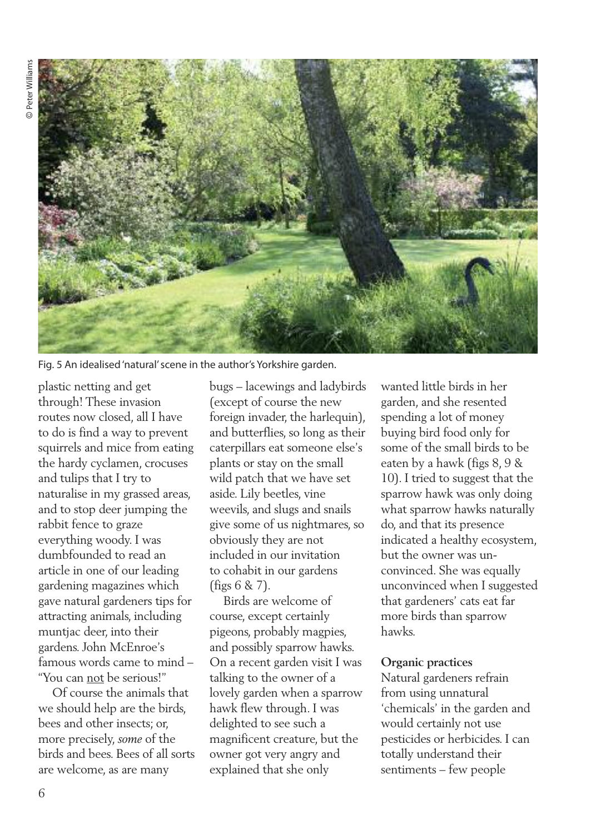

Fig. 5 An idealised'natural'scene in the author's Yorkshire garden.

plastic netting and get through! These invasion routes now closed, all I have to do is find a way to prevent squirrels and mice from eating the hardy cyclamen, crocuses and tulips that I try to naturalise in my grassed areas, and to stop deer jumping the rabbit fence to graze everything woody. I was dumbfounded to read an article in one of our leading gardening magazines which gave natural gardeners tips for attracting animals, including muntjac deer, into their gardens. John McEnroe's famous words came to mind – "You can not be serious!"

Of course the animals that we should help are the birds, bees and other insects; or, more precisely, *some* of the birds and bees. Bees of all sorts are welcome, as are many

bugs – lacewings and ladybirds (except of course the new foreign invader, the harlequin), and butterflies, so long as their caterpillars eat someone else's plants or stay on the small wild patch that we have set aside. Lily beetles, vine weevils, and slugs and snails give some of us nightmares, so obviously they are not included in our invitation to cohabit in our gardens (figs 6 & 7).

Birds are welcome of course, except certainly pigeons, probably magpies, and possibly sparrow hawks. On a recent garden visit I was talking to the owner of a lovely garden when a sparrow hawk flew through. I was delighted to see such a magnificent creature, but the owner got very angry and explained that she only

wanted little birds in her garden, and she resented spending a lot of money buying bird food only for some of the small birds to be eaten by a hawk (figs 8, 9 & 10). I tried to suggest that the sparrow hawk was only doing what sparrow hawks naturally do, and that its presence indicated a healthy ecosystem, but the owner was unconvinced. She was equally unconvinced when I suggested that gardeners' cats eat far more birds than sparrow hawks.

## **Organic practices**

Natural gardeners refrain from using unnatural 'chemicals' in the garden and would certainly not use pesticides or herbicides. I can totally understand their sentiments – few people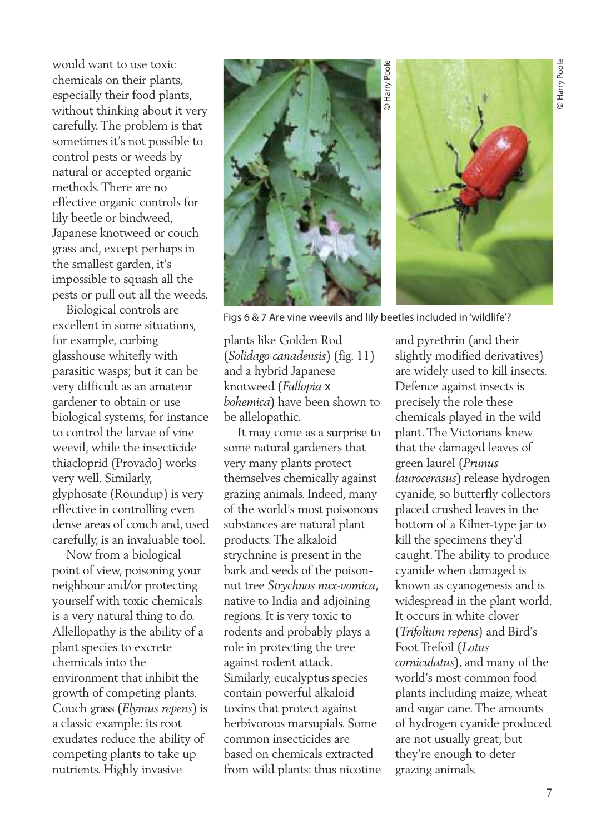would want to use toxic chemicals on their plants, especially their food plants, without thinking about it very carefully.The problem is that sometimes it's not possible to control pests or weeds by natural or accepted organic methods.There are no effective organic controls for lily beetle or bindweed, Japanese knotweed or couch grass and, except perhaps in the smallest garden, it's impossible to squash all the pests or pull out all the weeds.

Biological controls are excellent in some situations, for example, curbing glasshouse whitefly with parasitic wasps; but it can be very difficult as an amateur gardener to obtain or use biological systems, for instance to control the larvae of vine weevil, while the insecticide thiacloprid (Provado) works very well. Similarly, glyphosate (Roundup) is very effective in controlling even dense areas of couch and, used carefully, is an invaluable tool.

Now from a biological point of view, poisoning your neighbour and/or protecting yourself with toxic chemicals is a very natural thing to do. Allellopathy is the ability of a plant species to excrete chemicals into the environment that inhibit the growth of competing plants. Couch grass (*Elymus repens*) is a classic example: its root exudates reduce the ability of competing plants to take up nutrients. Highly invasive



Figs 6 & 7 Are vine weevils and lily beetles included in'wildlife'?

plants like Golden Rod (*Solidago canadensis*) (fig. 11) and a hybrid Japanese knotweed (*Fallopia* x *bohemica*) have been shown to be allelopathic.

It may come as a surprise to some natural gardeners that very many plants protect themselves chemically against grazing animals. Indeed, many of the world's most poisonous substances are natural plant products.The alkaloid strychnine is present in the bark and seeds of the poisonnut tree *Strychnos nux-vomica*, native to India and adjoining regions. It is very toxic to rodents and probably plays a role in protecting the tree against rodent attack. Similarly, eucalyptus species contain powerful alkaloid toxins that protect against herbivorous marsupials. Some common insecticides are based on chemicals extracted from wild plants: thus nicotine

and pyrethrin (and their slightly modified derivatives) are widely used to kill insects. Defence against insects is precisely the role these chemicals played in the wild plant.The Victorians knew that the damaged leaves of green laurel (*Prunus laurocerasus*) release hydrogen cyanide, so butterfly collectors placed crushed leaves in the bottom of a Kilner-type jar to kill the specimens they'd caught.The ability to produce cyanide when damaged is known as cyanogenesis and is widespread in the plant world. It occurs in white clover (*Trifolium repens*) and Bird's Foot Trefoil (*Lotus corniculatus*), and many of the world's most common food plants including maize, wheat and sugar cane.The amounts of hydrogen cyanide produced are not usually great, but they're enough to deter grazing animals.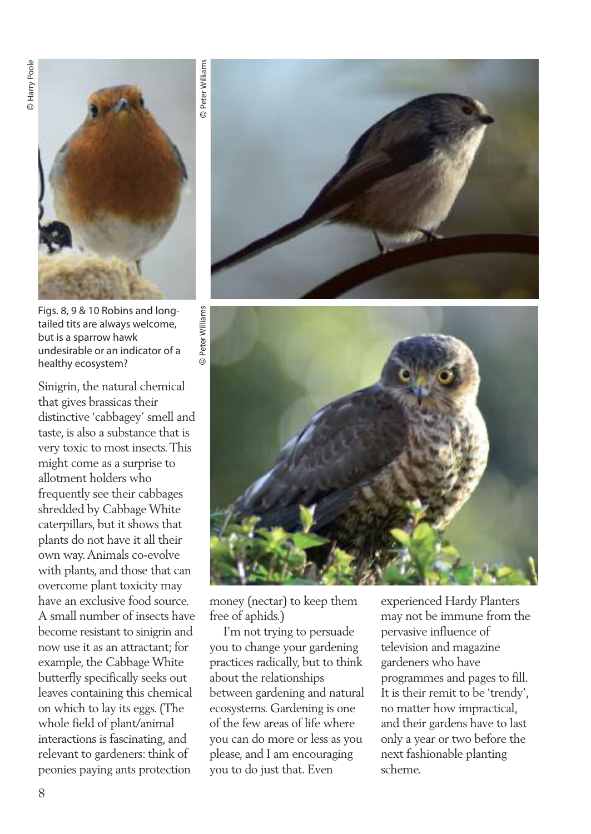

Figs. 8, 9 & 10 Robins and longtailed tits are always welcome, but is a sparrow hawk undesirable or an indicator of a healthy ecosystem?

Sinigrin, the natural chemical that gives brassicas their distinctive 'cabbagey' smell and taste, is also a substance that is very toxic to most insects.This might come as a surprise to allotment holders who frequently see their cabbages shredded by CabbageWhite caterpillars, but it shows that plants do not have it all their own way.Animals co-evolve with plants, and those that can overcome plant toxicity may have an exclusive food source. A small number of insects have become resistant to sinigrin and now use it as an attractant; for example, the CabbageWhite butterfly specifically seeks out leaves containing this chemical on which to lay its eggs.(The whole field of plant/animal interactions is fascinating, and relevant to gardeners: think of peonies paying ants protection





money (nectar) to keep them free of aphids.)

I'm not trying to persuade you to change your gardening practices radically, but to think about the relationships between gardening and natural ecosystems. Gardening is one of the few areas of life where you can do more or less as you please, and I am encouraging you to do just that. Even

experienced Hardy Planters may not be immune from the pervasive influence of television and magazine gardeners who have programmes and pages to fill. It is their remit to be 'trendy', no matter how impractical, and their gardens have to last only a year or two before the next fashionable planting scheme.